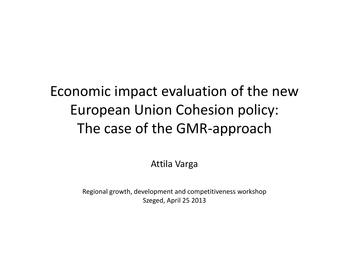#### Economic impact evaluation of the new European Union Cohesion policy: The case of the GMR-approach

Attila Varga

Regional growth, development and competitiveness workshop Szeged, April 25 2013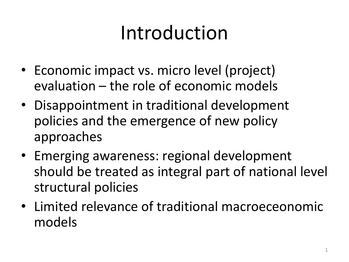# Introduction

- Economic impact vs. micro level (project) evaluation – the role of economic models
- Disappointment in traditional development policies and the emergence of new policy approaches
- Emerging awareness: regional development should be treated as integral part of national level structural policies
- Limited relevance of traditional macroeceonomic models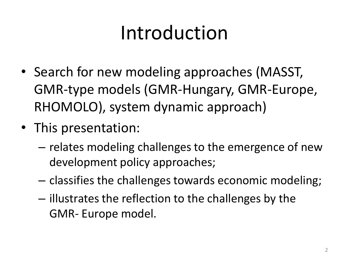# Introduction

- Search for new modeling approaches (MASST, GMR-type models (GMR-Hungary, GMR-Europe, RHOMOLO), system dynamic approach)
- This presentation:
	- relates modeling challenges to the emergence of new development policy approaches;
	- classifies the challenges towards economic modeling;
	- illustrates the reflection to the challenges by the GMR- Europe model.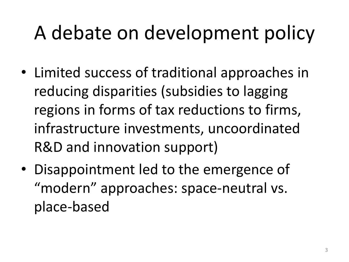- Limited success of traditional approaches in reducing disparities (subsidies to lagging regions in forms of tax reductions to firms, infrastructure investments, uncoordinated R&D and innovation support)
- Disappointment led to the emergence of "modern" approaches: space-neutral vs. place-based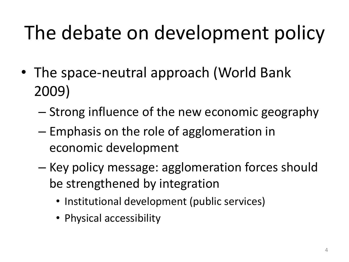- The space-neutral approach (World Bank 2009)
	- Strong influence of the new economic geography
	- Emphasis on the role of agglomeration in economic development
	- Key policy message: agglomeration forces should be strengthened by integration
		- Institutional development (public services)
		- Physical accessibility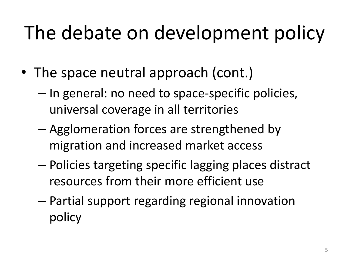- The space neutral approach (cont.)
	- In general: no need to space-specific policies, universal coverage in all territories
	- Agglomeration forces are strengthened by migration and increased market access
	- Policies targeting specific lagging places distract resources from their more efficient use
	- Partial support regarding regional innovation policy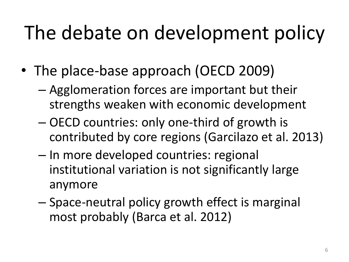- The place-base approach (OECD 2009)
	- Agglomeration forces are important but their strengths weaken with economic development
	- OECD countries: only one-third of growth is contributed by core regions (Garcilazo et al. 2013)
	- In more developed countries: regional institutional variation is not significantly large anymore
	- Space-neutral policy growth effect is marginal most probably (Barca et al. 2012)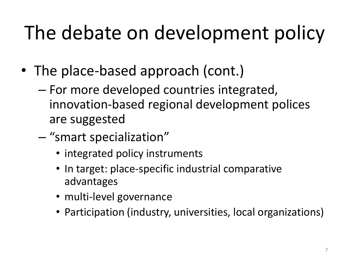- The place-based approach (cont.)
	- For more developed countries integrated, innovation-based regional development polices are suggested
	- "smart specialization"
		- integrated policy instruments
		- In target: place-specific industrial comparative advantages
		- multi-level governance
		- Participation (industry, universities, local organizations)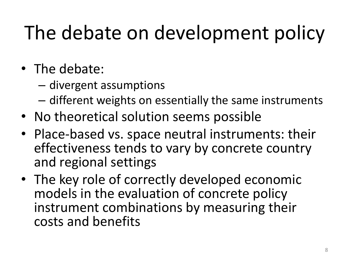- The debate:
	- divergent assumptions
	- different weights on essentially the same instruments
- No theoretical solution seems possible
- Place-based vs. space neutral instruments: their effectiveness tends to vary by concrete country and regional settings
- The key role of correctly developed economic models in the evaluation of concrete policy instrument combinations by measuring their costs and benefits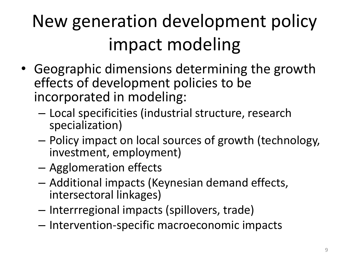## New generation development policy impact modeling

- Geographic dimensions determining the growth effects of development policies to be incorporated in modeling:
	- Local specificities (industrial structure, research specialization)
	- Policy impact on local sources of growth (technology, investment, employment)
	- Agglomeration effects
	- Additional impacts (Keynesian demand effects, intersectoral linkages)
	- Interrregional impacts (spillovers, trade)
	- Intervention-specific macroeconomic impacts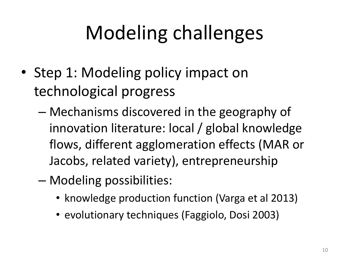- Step 1: Modeling policy impact on technological progress
	- Mechanisms discovered in the geography of innovation literature: local / global knowledge flows, different agglomeration effects (MAR or Jacobs, related variety), entrepreneurship
	- Modeling possibilities:
		- knowledge production function (Varga et al 2013)
		- evolutionary techniques (Faggiolo, Dosi 2003)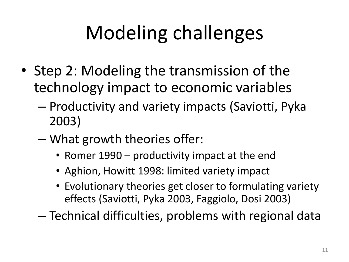- Step 2: Modeling the transmission of the technology impact to economic variables
	- Productivity and variety impacts (Saviotti, Pyka 2003)
	- What growth theories offer:
		- Romer 1990 productivity impact at the end
		- Aghion, Howitt 1998: limited variety impact
		- Evolutionary theories get closer to formulating variety effects (Saviotti, Pyka 2003, Faggiolo, Dosi 2003)

– Technical difficulties, problems with regional data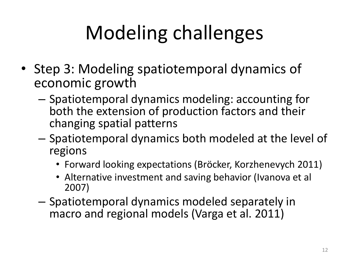- Step 3: Modeling spatiotemporal dynamics of economic growth
	- Spatiotemporal dynamics modeling: accounting for both the extension of production factors and their changing spatial patterns
	- Spatiotemporal dynamics both modeled at the level of regions
		- Forward looking expectations (Bröcker, Korzhenevych 2011)
		- Alternative investment and saving behavior (Ivanova et al 2007)
	- Spatiotemporal dynamics modeled separately in macro and regional models (Varga et al. 2011)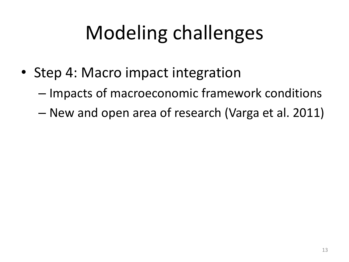- Step 4: Macro impact integration
	- Impacts of macroeconomic framework conditions
	- New and open area of research (Varga et al. 2011)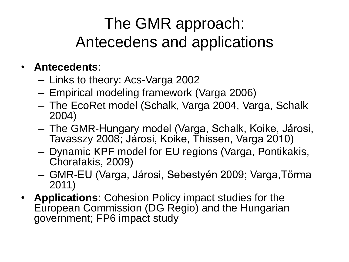#### The GMR approach: Antecedens and applications

#### • **Antecedents**:

- Links to theory: Acs-Varga 2002
- Empirical modeling framework (Varga 2006)
- The EcoRet model (Schalk, Varga 2004, Varga, Schalk 2004)
- The GMR-Hungary model (Varga, Schalk, Koike, Járosi, Tavasszy 2008; Járosi, Koike, Thissen, Varga 2010)
- Dynamic KPF model for EU regions (Varga, Pontikakis, Chorafakis, 2009)
- GMR-EU (Varga, Járosi, Sebestyén 2009; Varga,Törma 2011)
- **Applications**: Cohesion Policy impact studies for the European Commission (DG Regio) and the Hungarian government; FP6 impact study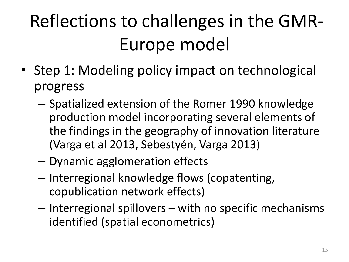# Reflections to challenges in the GMR-Europe model

- Step 1: Modeling policy impact on technological progress
	- Spatialized extension of the Romer 1990 knowledge production model incorporating several elements of the findings in the geography of innovation literature (Varga et al 2013, Sebestyén, Varga 2013)
	- Dynamic agglomeration effects
	- Interregional knowledge flows (copatenting, copublication network effects)
	- Interregional spillovers with no specific mechanisms identified (spatial econometrics)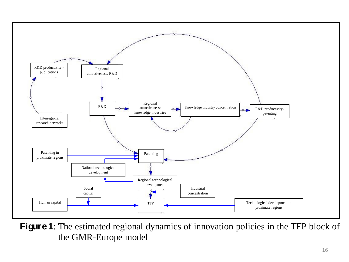

**Figure 1**: The estimated regional dynamics of innovation policies in the TFP block of the GMR-Europe model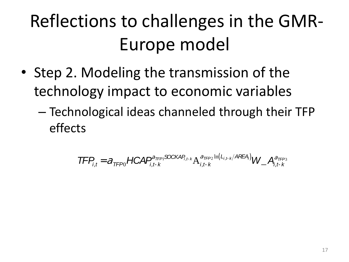### Reflections to challenges in the GMR-Europe model

- Step 2. Modeling the transmission of the technology impact to economic variables
	- Technological ideas channeled through their TFP effects

$$
\mathsf{TFP}_{i,t} = a_{\mathsf{TFP}0} \mathsf{HCAP}_{i,t-k}^{a_{\mathsf{TFP}1} \mathsf{SOCKAP}_{i,t-k}} A_{i,t-k}^{a_{\mathsf{TFP}2} \ln(L_{i,t-k}/\mathsf{AFEA})} W_{\perp} A_{i,t-k}^{a_{\mathsf{TFP}3}}
$$
\n
$$
177 \mathsf{FCAP}_{i,t-k}^{3}
$$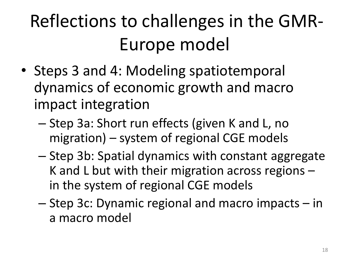### Reflections to challenges in the GMR-Europe model

- Steps 3 and 4: Modeling spatiotemporal dynamics of economic growth and macro impact integration
	- Step 3a: Short run effects (given K and L, no migration) – system of regional CGE models
	- Step 3b: Spatial dynamics with constant aggregate K and L but with their migration across regions – in the system of regional CGE models
	- Step 3c: Dynamic regional and macro impacts in a macro model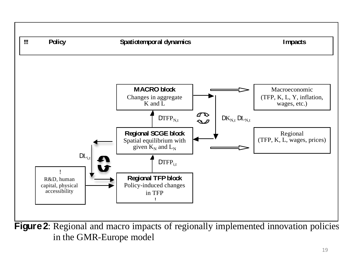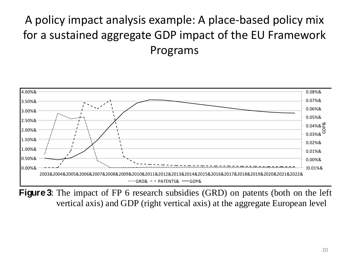#### A policy impact analysis example: A place-based policy mix for a sustained aggregate GDP impact of the EU Framework Programs



**Figure 3**: The impact of FP 6 research subsidies (GRD) on patents (both on the left vertical axis) and GDP (right vertical axis) at the aggregate European level